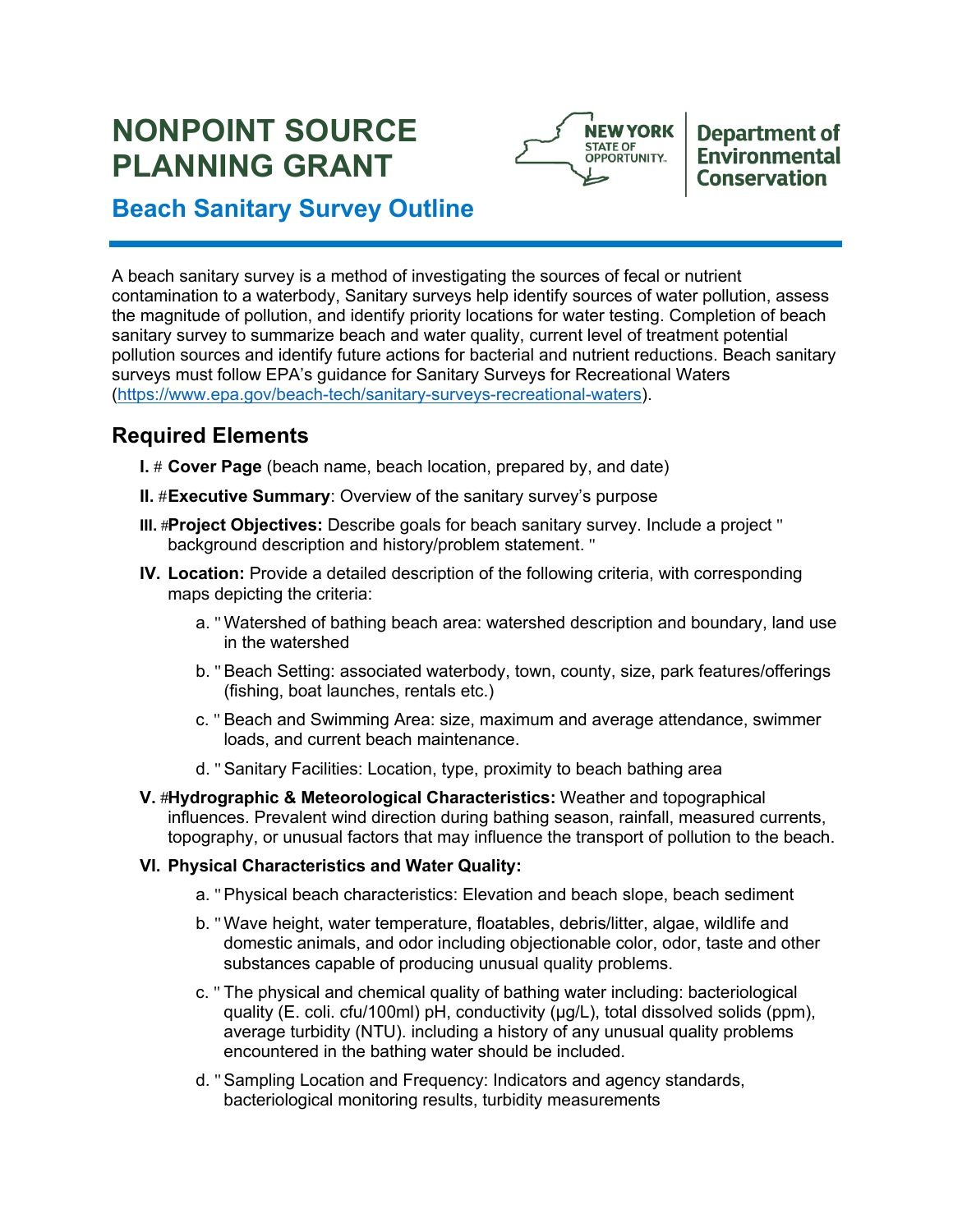# **NONPOINT SOURCE PLANNING GRANT**



## **Department of Environmental Conservation**

## **Beach Sanitary Survey Outline**

 A beach sanitary survey is a method of investigating the sources of fecal or nutrient contamination to a waterbody, Sanitary surveys help identify sources of water pollution, assess the magnitude of pollution, and identify priority locations for water testing. Completion of beach pollution sources and identify future actions for bacterial and nutrient reductions. Beach sanitary surveys must follow EPA's guidance for Sanitary Surveys for Recreational Waters sanitary survey to summarize beach and water quality, current level of treatment potential (https://www.epa.gov/beach-tech/sanitary-surveys-recreational-waters).

## **Required Elements**

- **I.** # Cover Page (beach name, beach location, prepared by, and date)
- **II.** #Executive Summary: Overview of the sanitary survey's purpose
- **III.** #Project Objectives: Describe goals for beach sanitary survey. Include a project " background description and history/problem statement. "
- **IV. Location:** Provide a detailed description of the following criteria, with corresponding maps depicting the criteria:
	- in the watershed a. "Watershed of bathing beach area: watershed description and boundary, land use
	- b. "Beach Setting: associated waterbody, town, county, size, park features/offerings (fishing, boat launches, rentals etc.)
	- c. " Beach and Swimming Area: size, maximum and average attendance, swimmer loads, and current beach maintenance.
	- d. "Sanitary Facilities: Location, type, proximity to beach bathing area
- **V.** #**Hydrographic & Meteorological Characteristics:** Weather and topographical influences. Prevalent wind direction during bathing season, rainfall, measured currents, topography, or unusual factors that may influence the transport of pollution to the beach.

### **VI. Physical Characteristics and Water Quality:**

- a. "Physical beach characteristics: Elevation and beach slope, beach sediment
- b. "Wave height, water temperature, floatables, debris/litter, algae, wildlife and domestic animals, and odor including objectionable color, odor, taste and other substances capable of producing unusual quality problems.
- c. " The physical and chemical quality of bathing water including: bacteriological quality (E. coli. cfu/100ml) pH, conductivity (µg/L), total dissolved solids (ppm), average turbidity (NTU). including a history of any unusual quality problems encountered in the bathing water should be included.
- encountered in the bathing water should be included.<br>d. "Sampling Location and Frequency: Indicators and agency standards, bacteriological monitoring results, turbidity measurements